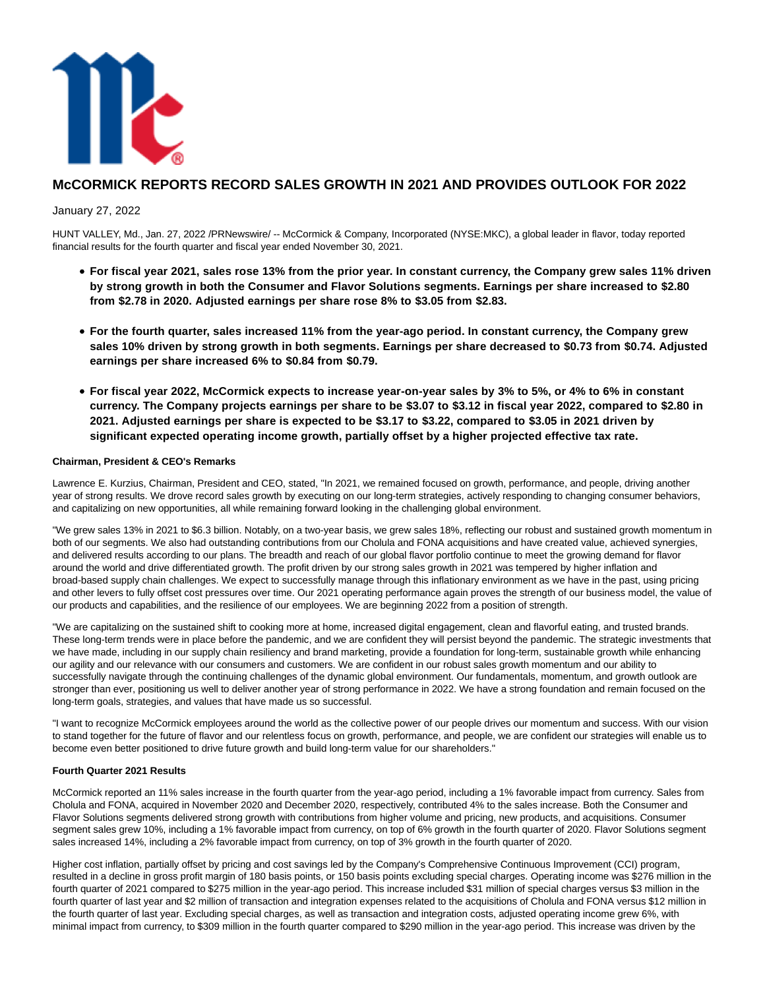

# **McCORMICK REPORTS RECORD SALES GROWTH IN 2021 AND PROVIDES OUTLOOK FOR 2022**

# January 27, 2022

HUNT VALLEY, Md., Jan. 27, 2022 /PRNewswire/ -- McCormick & Company, Incorporated (NYSE:MKC), a global leader in flavor, today reported financial results for the fourth quarter and fiscal year ended November 30, 2021.

- **For fiscal year 2021, sales rose 13% from the prior year. In constant currency, the Company grew sales 11% driven by strong growth in both the Consumer and Flavor Solutions segments. Earnings per share increased to \$2.80 from \$2.78 in 2020. Adjusted earnings per share rose 8% to \$3.05 from \$2.83.**
- **For the fourth quarter, sales increased 11% from the year-ago period. In constant currency, the Company grew sales 10% driven by strong growth in both segments. Earnings per share decreased to \$0.73 from \$0.74. Adjusted earnings per share increased 6% to \$0.84 from \$0.79.**
- **For fiscal year 2022, McCormick expects to increase year-on-year sales by 3% to 5%, or 4% to 6% in constant currency. The Company projects earnings per share to be \$3.07 to \$3.12 in fiscal year 2022, compared to \$2.80 in 2021. Adjusted earnings per share is expected to be \$3.17 to \$3.22, compared to \$3.05 in 2021 driven by significant expected operating income growth, partially offset by a higher projected effective tax rate.**

## **Chairman, President & CEO's Remarks**

Lawrence E. Kurzius, Chairman, President and CEO, stated, "In 2021, we remained focused on growth, performance, and people, driving another year of strong results. We drove record sales growth by executing on our long-term strategies, actively responding to changing consumer behaviors, and capitalizing on new opportunities, all while remaining forward looking in the challenging global environment.

"We grew sales 13% in 2021 to \$6.3 billion. Notably, on a two-year basis, we grew sales 18%, reflecting our robust and sustained growth momentum in both of our segments. We also had outstanding contributions from our Cholula and FONA acquisitions and have created value, achieved synergies, and delivered results according to our plans. The breadth and reach of our global flavor portfolio continue to meet the growing demand for flavor around the world and drive differentiated growth. The profit driven by our strong sales growth in 2021 was tempered by higher inflation and broad-based supply chain challenges. We expect to successfully manage through this inflationary environment as we have in the past, using pricing and other levers to fully offset cost pressures over time. Our 2021 operating performance again proves the strength of our business model, the value of our products and capabilities, and the resilience of our employees. We are beginning 2022 from a position of strength.

"We are capitalizing on the sustained shift to cooking more at home, increased digital engagement, clean and flavorful eating, and trusted brands. These long-term trends were in place before the pandemic, and we are confident they will persist beyond the pandemic. The strategic investments that we have made, including in our supply chain resiliency and brand marketing, provide a foundation for long-term, sustainable growth while enhancing our agility and our relevance with our consumers and customers. We are confident in our robust sales growth momentum and our ability to successfully navigate through the continuing challenges of the dynamic global environment. Our fundamentals, momentum, and growth outlook are stronger than ever, positioning us well to deliver another year of strong performance in 2022. We have a strong foundation and remain focused on the long-term goals, strategies, and values that have made us so successful.

"I want to recognize McCormick employees around the world as the collective power of our people drives our momentum and success. With our vision to stand together for the future of flavor and our relentless focus on growth, performance, and people, we are confident our strategies will enable us to become even better positioned to drive future growth and build long-term value for our shareholders."

## **Fourth Quarter 2021 Results**

McCormick reported an 11% sales increase in the fourth quarter from the year-ago period, including a 1% favorable impact from currency. Sales from Cholula and FONA, acquired in November 2020 and December 2020, respectively, contributed 4% to the sales increase. Both the Consumer and Flavor Solutions segments delivered strong growth with contributions from higher volume and pricing, new products, and acquisitions. Consumer segment sales grew 10%, including a 1% favorable impact from currency, on top of 6% growth in the fourth quarter of 2020. Flavor Solutions segment sales increased 14%, including a 2% favorable impact from currency, on top of 3% growth in the fourth quarter of 2020.

Higher cost inflation, partially offset by pricing and cost savings led by the Company's Comprehensive Continuous Improvement (CCI) program, resulted in a decline in gross profit margin of 180 basis points, or 150 basis points excluding special charges. Operating income was \$276 million in the fourth quarter of 2021 compared to \$275 million in the year-ago period. This increase included \$31 million of special charges versus \$3 million in the fourth quarter of last year and \$2 million of transaction and integration expenses related to the acquisitions of Cholula and FONA versus \$12 million in the fourth quarter of last year. Excluding special charges, as well as transaction and integration costs, adjusted operating income grew 6%, with minimal impact from currency, to \$309 million in the fourth quarter compared to \$290 million in the year-ago period. This increase was driven by the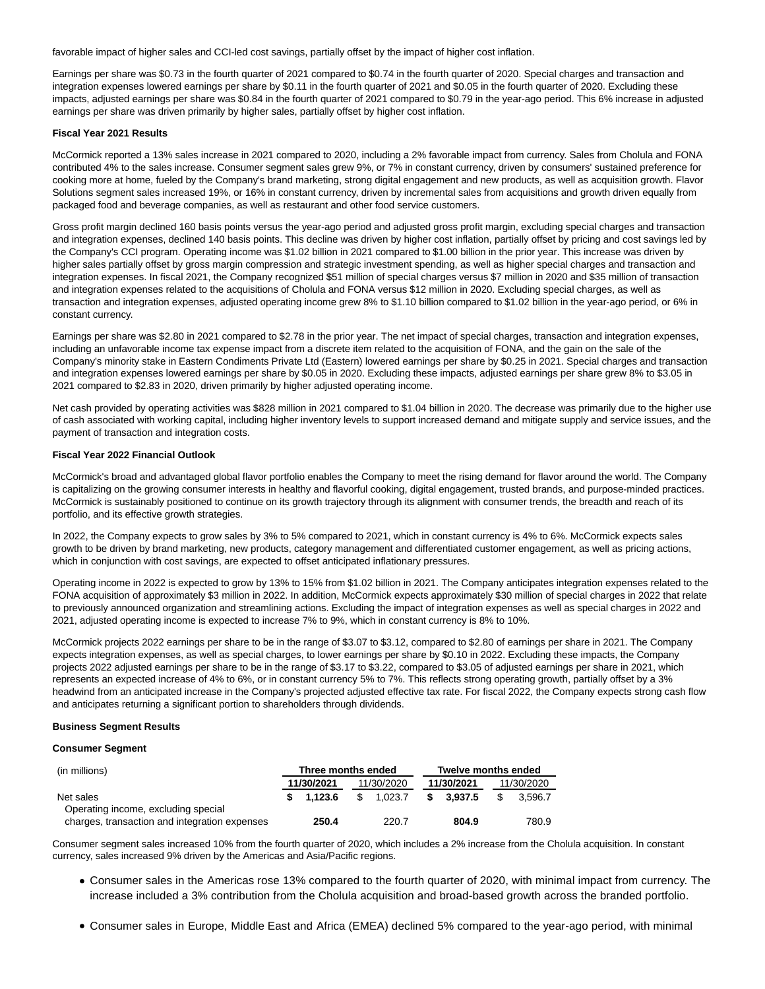favorable impact of higher sales and CCI-led cost savings, partially offset by the impact of higher cost inflation.

Earnings per share was \$0.73 in the fourth quarter of 2021 compared to \$0.74 in the fourth quarter of 2020. Special charges and transaction and integration expenses lowered earnings per share by \$0.11 in the fourth quarter of 2021 and \$0.05 in the fourth quarter of 2020. Excluding these impacts, adjusted earnings per share was \$0.84 in the fourth quarter of 2021 compared to \$0.79 in the year-ago period. This 6% increase in adjusted earnings per share was driven primarily by higher sales, partially offset by higher cost inflation.

#### **Fiscal Year 2021 Results**

McCormick reported a 13% sales increase in 2021 compared to 2020, including a 2% favorable impact from currency. Sales from Cholula and FONA contributed 4% to the sales increase. Consumer segment sales grew 9%, or 7% in constant currency, driven by consumers' sustained preference for cooking more at home, fueled by the Company's brand marketing, strong digital engagement and new products, as well as acquisition growth. Flavor Solutions segment sales increased 19%, or 16% in constant currency, driven by incremental sales from acquisitions and growth driven equally from packaged food and beverage companies, as well as restaurant and other food service customers.

Gross profit margin declined 160 basis points versus the year-ago period and adjusted gross profit margin, excluding special charges and transaction and integration expenses, declined 140 basis points. This decline was driven by higher cost inflation, partially offset by pricing and cost savings led by the Company's CCI program. Operating income was \$1.02 billion in 2021 compared to \$1.00 billion in the prior year. This increase was driven by higher sales partially offset by gross margin compression and strategic investment spending, as well as higher special charges and transaction and integration expenses. In fiscal 2021, the Company recognized \$51 million of special charges versus \$7 million in 2020 and \$35 million of transaction and integration expenses related to the acquisitions of Cholula and FONA versus \$12 million in 2020. Excluding special charges, as well as transaction and integration expenses, adjusted operating income grew 8% to \$1.10 billion compared to \$1.02 billion in the year-ago period, or 6% in constant currency.

Earnings per share was \$2.80 in 2021 compared to \$2.78 in the prior year. The net impact of special charges, transaction and integration expenses, including an unfavorable income tax expense impact from a discrete item related to the acquisition of FONA, and the gain on the sale of the Company's minority stake in Eastern Condiments Private Ltd (Eastern) lowered earnings per share by \$0.25 in 2021. Special charges and transaction and integration expenses lowered earnings per share by \$0.05 in 2020. Excluding these impacts, adjusted earnings per share grew 8% to \$3.05 in 2021 compared to \$2.83 in 2020, driven primarily by higher adjusted operating income.

Net cash provided by operating activities was \$828 million in 2021 compared to \$1.04 billion in 2020. The decrease was primarily due to the higher use of cash associated with working capital, including higher inventory levels to support increased demand and mitigate supply and service issues, and the payment of transaction and integration costs.

#### **Fiscal Year 2022 Financial Outlook**

McCormick's broad and advantaged global flavor portfolio enables the Company to meet the rising demand for flavor around the world. The Company is capitalizing on the growing consumer interests in healthy and flavorful cooking, digital engagement, trusted brands, and purpose-minded practices. McCormick is sustainably positioned to continue on its growth trajectory through its alignment with consumer trends, the breadth and reach of its portfolio, and its effective growth strategies.

In 2022, the Company expects to grow sales by 3% to 5% compared to 2021, which in constant currency is 4% to 6%. McCormick expects sales growth to be driven by brand marketing, new products, category management and differentiated customer engagement, as well as pricing actions, which in conjunction with cost savings, are expected to offset anticipated inflationary pressures.

Operating income in 2022 is expected to grow by 13% to 15% from \$1.02 billion in 2021. The Company anticipates integration expenses related to the FONA acquisition of approximately \$3 million in 2022. In addition, McCormick expects approximately \$30 million of special charges in 2022 that relate to previously announced organization and streamlining actions. Excluding the impact of integration expenses as well as special charges in 2022 and 2021, adjusted operating income is expected to increase 7% to 9%, which in constant currency is 8% to 10%.

McCormick projects 2022 earnings per share to be in the range of \$3.07 to \$3.12, compared to \$2.80 of earnings per share in 2021. The Company expects integration expenses, as well as special charges, to lower earnings per share by \$0.10 in 2022. Excluding these impacts, the Company projects 2022 adjusted earnings per share to be in the range of \$3.17 to \$3.22, compared to \$3.05 of adjusted earnings per share in 2021, which represents an expected increase of 4% to 6%, or in constant currency 5% to 7%. This reflects strong operating growth, partially offset by a 3% headwind from an anticipated increase in the Company's projected adjusted effective tax rate. For fiscal 2022, the Company expects strong cash flow and anticipates returning a significant portion to shareholders through dividends.

#### **Business Segment Results**

#### **Consumer Segment**

| (in millions)                                 | Three months ended |            | <b>Twelve months ended</b> |  |            |  |            |
|-----------------------------------------------|--------------------|------------|----------------------------|--|------------|--|------------|
|                                               |                    | 11/30/2021 | 11/30/2020                 |  | 11/30/2021 |  | 11/30/2020 |
| Net sales                                     |                    | \$1.123.6  | 1.023.7                    |  | \$3.937.5  |  | 3.596.7    |
| Operating income, excluding special           |                    |            |                            |  |            |  |            |
| charges, transaction and integration expenses |                    | 250.4      | 220.7                      |  | 804.9      |  | 780.9      |

Consumer segment sales increased 10% from the fourth quarter of 2020, which includes a 2% increase from the Cholula acquisition. In constant currency, sales increased 9% driven by the Americas and Asia/Pacific regions.

- Consumer sales in the Americas rose 13% compared to the fourth quarter of 2020, with minimal impact from currency. The increase included a 3% contribution from the Cholula acquisition and broad-based growth across the branded portfolio.
- Consumer sales in Europe, Middle East and Africa (EMEA) declined 5% compared to the year-ago period, with minimal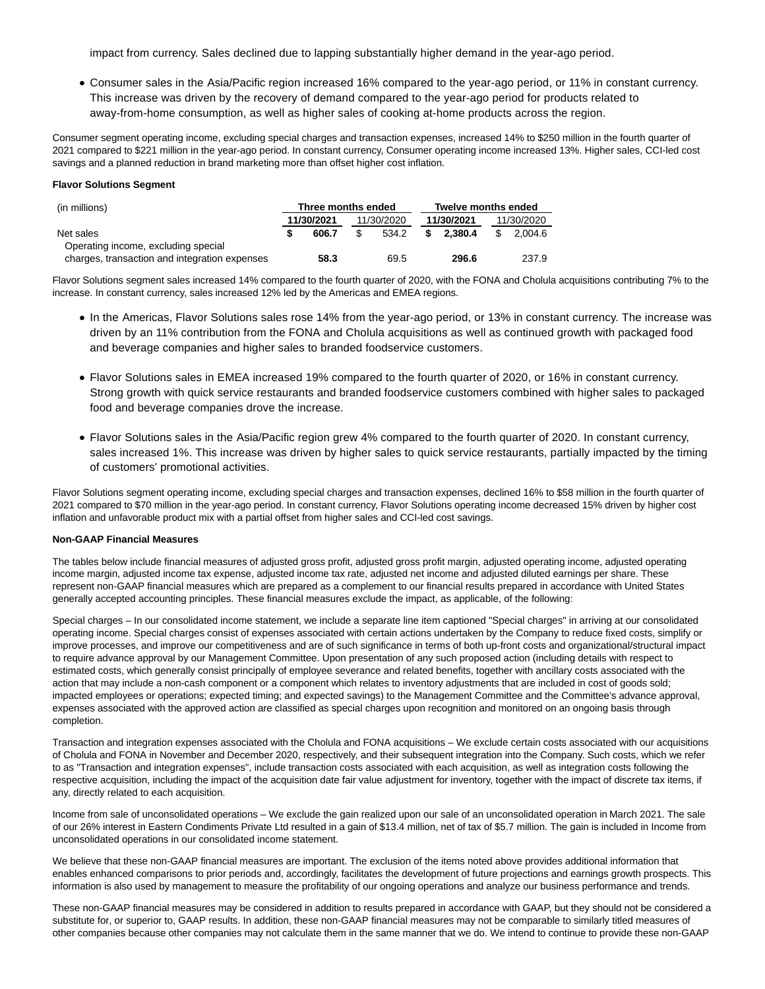impact from currency. Sales declined due to lapping substantially higher demand in the year-ago period.

Consumer sales in the Asia/Pacific region increased 16% compared to the year-ago period, or 11% in constant currency. This increase was driven by the recovery of demand compared to the year-ago period for products related to away-from-home consumption, as well as higher sales of cooking at-home products across the region.

Consumer segment operating income, excluding special charges and transaction expenses, increased 14% to \$250 million in the fourth quarter of 2021 compared to \$221 million in the year-ago period. In constant currency, Consumer operating income increased 13%. Higher sales, CCI-led cost savings and a planned reduction in brand marketing more than offset higher cost inflation.

### **Flavor Solutions Segment**

| (in millions)                                 | Three months ended |            | <b>Twelve months ended</b> |    |            |  |            |
|-----------------------------------------------|--------------------|------------|----------------------------|----|------------|--|------------|
|                                               |                    | 11/30/2021 | 11/30/2020                 |    | 11/30/2021 |  | 11/30/2020 |
| Net sales                                     |                    | 606.7      | 534.2                      | \$ | 2.380.4    |  | 2.004.6    |
| Operating income, excluding special           |                    |            |                            |    |            |  |            |
| charges, transaction and integration expenses |                    | 58.3       | 69.5                       |    | 296.6      |  | 237.9      |

Flavor Solutions segment sales increased 14% compared to the fourth quarter of 2020, with the FONA and Cholula acquisitions contributing 7% to the increase. In constant currency, sales increased 12% led by the Americas and EMEA regions.

- In the Americas, Flavor Solutions sales rose 14% from the year-ago period, or 13% in constant currency. The increase was driven by an 11% contribution from the FONA and Cholula acquisitions as well as continued growth with packaged food and beverage companies and higher sales to branded foodservice customers.
- Flavor Solutions sales in EMEA increased 19% compared to the fourth quarter of 2020, or 16% in constant currency. Strong growth with quick service restaurants and branded foodservice customers combined with higher sales to packaged food and beverage companies drove the increase.
- Flavor Solutions sales in the Asia/Pacific region grew 4% compared to the fourth quarter of 2020. In constant currency, sales increased 1%. This increase was driven by higher sales to quick service restaurants, partially impacted by the timing of customers' promotional activities.

Flavor Solutions segment operating income, excluding special charges and transaction expenses, declined 16% to \$58 million in the fourth quarter of 2021 compared to \$70 million in the year-ago period. In constant currency, Flavor Solutions operating income decreased 15% driven by higher cost inflation and unfavorable product mix with a partial offset from higher sales and CCI-led cost savings.

#### **Non-GAAP Financial Measures**

The tables below include financial measures of adjusted gross profit, adjusted gross profit margin, adjusted operating income, adjusted operating income margin, adjusted income tax expense, adjusted income tax rate, adjusted net income and adjusted diluted earnings per share. These represent non-GAAP financial measures which are prepared as a complement to our financial results prepared in accordance with United States generally accepted accounting principles. These financial measures exclude the impact, as applicable, of the following:

Special charges – In our consolidated income statement, we include a separate line item captioned "Special charges" in arriving at our consolidated operating income. Special charges consist of expenses associated with certain actions undertaken by the Company to reduce fixed costs, simplify or improve processes, and improve our competitiveness and are of such significance in terms of both up-front costs and organizational/structural impact to require advance approval by our Management Committee. Upon presentation of any such proposed action (including details with respect to estimated costs, which generally consist principally of employee severance and related benefits, together with ancillary costs associated with the action that may include a non-cash component or a component which relates to inventory adjustments that are included in cost of goods sold; impacted employees or operations; expected timing; and expected savings) to the Management Committee and the Committee's advance approval, expenses associated with the approved action are classified as special charges upon recognition and monitored on an ongoing basis through completion.

Transaction and integration expenses associated with the Cholula and FONA acquisitions – We exclude certain costs associated with our acquisitions of Cholula and FONA in November and December 2020, respectively, and their subsequent integration into the Company. Such costs, which we refer to as "Transaction and integration expenses", include transaction costs associated with each acquisition, as well as integration costs following the respective acquisition, including the impact of the acquisition date fair value adjustment for inventory, together with the impact of discrete tax items, if any, directly related to each acquisition.

Income from sale of unconsolidated operations – We exclude the gain realized upon our sale of an unconsolidated operation in March 2021. The sale of our 26% interest in Eastern Condiments Private Ltd resulted in a gain of \$13.4 million, net of tax of \$5.7 million. The gain is included in Income from unconsolidated operations in our consolidated income statement.

We believe that these non-GAAP financial measures are important. The exclusion of the items noted above provides additional information that enables enhanced comparisons to prior periods and, accordingly, facilitates the development of future projections and earnings growth prospects. This information is also used by management to measure the profitability of our ongoing operations and analyze our business performance and trends.

These non-GAAP financial measures may be considered in addition to results prepared in accordance with GAAP, but they should not be considered a substitute for, or superior to, GAAP results. In addition, these non-GAAP financial measures may not be comparable to similarly titled measures of other companies because other companies may not calculate them in the same manner that we do. We intend to continue to provide these non-GAAP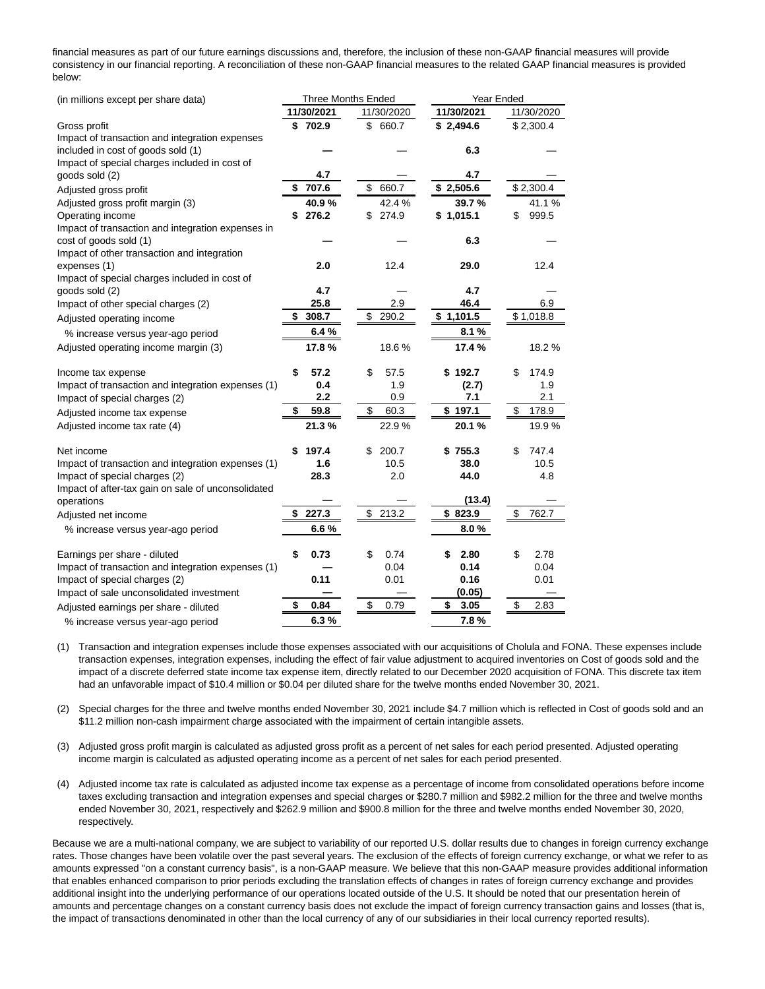financial measures as part of our future earnings discussions and, therefore, the inclusion of these non-GAAP financial measures will provide consistency in our financial reporting. A reconciliation of these non-GAAP financial measures to the related GAAP financial measures is provided below:

| (in millions except per share data)                | <b>Three Months Ended</b> |             | Year Ended    |             |  |
|----------------------------------------------------|---------------------------|-------------|---------------|-------------|--|
|                                                    | 11/30/2021                | 11/30/2020  | 11/30/2021    | 11/30/2020  |  |
| Gross profit                                       | 702.9<br>\$               | 660.7<br>\$ | \$2,494.6     | \$2,300.4   |  |
| Impact of transaction and integration expenses     |                           |             |               |             |  |
| included in cost of goods sold (1)                 |                           |             | 6.3           |             |  |
| Impact of special charges included in cost of      |                           |             |               |             |  |
| goods sold (2)                                     | 4.7                       |             | 4.7           |             |  |
| Adjusted gross profit                              | 707.6<br>\$               | \$<br>660.7 | \$2,505.6     | \$2,300.4   |  |
| Adjusted gross profit margin (3)                   | 40.9%                     | 42.4%       | 39.7%         | 41.1%       |  |
| Operating income                                   | 276.2                     | 274.9<br>\$ | \$1,015.1     | 999.5<br>\$ |  |
| Impact of transaction and integration expenses in  |                           |             |               |             |  |
| cost of goods sold (1)                             |                           |             | 6.3           |             |  |
| Impact of other transaction and integration        |                           |             |               |             |  |
| expenses (1)                                       | 2.0                       | 12.4        | 29.0          | 12.4        |  |
| Impact of special charges included in cost of      |                           |             |               |             |  |
| goods sold (2)                                     | 4.7                       |             | 4.7           |             |  |
| Impact of other special charges (2)                | 25.8                      | 2.9         | 46.4          | 6.9         |  |
| Adjusted operating income                          | 308.7                     | \$<br>290.2 | \$<br>1,101.5 | \$1,018.8   |  |
| % increase versus year-ago period                  | 6.4%                      |             | 8.1%          |             |  |
| Adjusted operating income margin (3)               | 17.8%                     | 18.6%       | 17.4%         | 18.2%       |  |
| Income tax expense                                 | 57.2                      | \$<br>57.5  | \$192.7       | \$<br>174.9 |  |
| Impact of transaction and integration expenses (1) | 0.4                       | 1.9         | (2.7)         | 1.9         |  |
| Impact of special charges (2)                      | 2.2                       | 0.9         | 7.1           | 2.1         |  |
| Adjusted income tax expense                        | 59.8<br>\$                | \$<br>60.3  | \$197.1       | \$<br>178.9 |  |
| Adjusted income tax rate (4)                       | 21.3%                     | 22.9%       | 20.1%         | 19.9%       |  |
| Net income                                         | 197.4                     | \$<br>200.7 | \$755.3       | \$<br>747.4 |  |
| Impact of transaction and integration expenses (1) | 1.6                       | 10.5        | 38.0          | 10.5        |  |
| Impact of special charges (2)                      | 28.3                      | 2.0         | 44.0          | 4.8         |  |
| Impact of after-tax gain on sale of unconsolidated |                           |             |               |             |  |
| operations                                         |                           |             | (13.4)        |             |  |
| Adjusted net income                                | 227.3                     | \$<br>213.2 | \$823.9       | \$<br>762.7 |  |
| % increase versus year-ago period                  | 6.6%                      |             | $8.0\%$       |             |  |
| Earnings per share - diluted                       | \$<br>0.73                | \$<br>0.74  | \$<br>2.80    | \$<br>2.78  |  |
| Impact of transaction and integration expenses (1) |                           | 0.04        | 0.14          | 0.04        |  |
| Impact of special charges (2)                      | 0.11                      | 0.01        | 0.16          | 0.01        |  |
| Impact of sale unconsolidated investment           |                           |             | (0.05)        |             |  |
| Adjusted earnings per share - diluted              | 0.84<br>\$                | \$<br>0.79  | \$<br>3.05    | \$<br>2.83  |  |
| % increase versus year-ago period                  | 6.3%                      |             | 7.8%          |             |  |

(1) Transaction and integration expenses include those expenses associated with our acquisitions of Cholula and FONA. These expenses include transaction expenses, integration expenses, including the effect of fair value adjustment to acquired inventories on Cost of goods sold and the impact of a discrete deferred state income tax expense item, directly related to our December 2020 acquisition of FONA. This discrete tax item had an unfavorable impact of \$10.4 million or \$0.04 per diluted share for the twelve months ended November 30, 2021.

(2) Special charges for the three and twelve months ended November 30, 2021 include \$4.7 million which is reflected in Cost of goods sold and an \$11.2 million non-cash impairment charge associated with the impairment of certain intangible assets.

(3) Adjusted gross profit margin is calculated as adjusted gross profit as a percent of net sales for each period presented. Adjusted operating income margin is calculated as adjusted operating income as a percent of net sales for each period presented.

(4) Adjusted income tax rate is calculated as adjusted income tax expense as a percentage of income from consolidated operations before income taxes excluding transaction and integration expenses and special charges or \$280.7 million and \$982.2 million for the three and twelve months ended November 30, 2021, respectively and \$262.9 million and \$900.8 million for the three and twelve months ended November 30, 2020, respectively.

Because we are a multi-national company, we are subject to variability of our reported U.S. dollar results due to changes in foreign currency exchange rates. Those changes have been volatile over the past several years. The exclusion of the effects of foreign currency exchange, or what we refer to as amounts expressed "on a constant currency basis", is a non-GAAP measure. We believe that this non-GAAP measure provides additional information that enables enhanced comparison to prior periods excluding the translation effects of changes in rates of foreign currency exchange and provides additional insight into the underlying performance of our operations located outside of the U.S. It should be noted that our presentation herein of amounts and percentage changes on a constant currency basis does not exclude the impact of foreign currency transaction gains and losses (that is, the impact of transactions denominated in other than the local currency of any of our subsidiaries in their local currency reported results).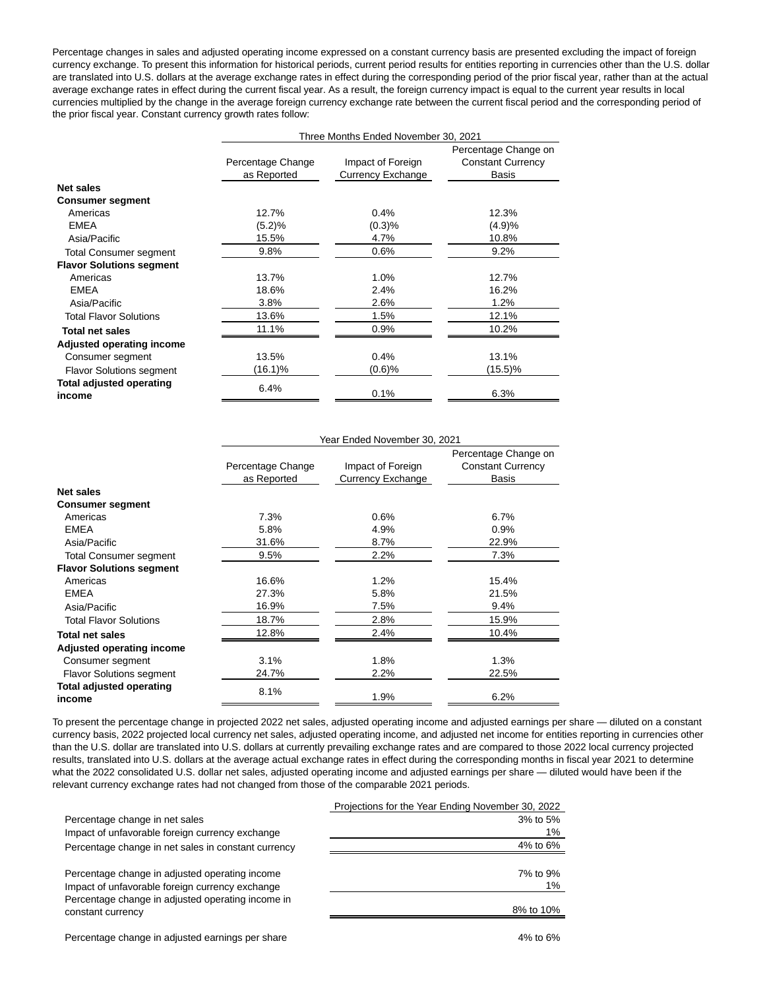Percentage changes in sales and adjusted operating income expressed on a constant currency basis are presented excluding the impact of foreign currency exchange. To present this information for historical periods, current period results for entities reporting in currencies other than the U.S. dollar are translated into U.S. dollars at the average exchange rates in effect during the corresponding period of the prior fiscal year, rather than at the actual average exchange rates in effect during the current fiscal year. As a result, the foreign currency impact is equal to the current year results in local currencies multiplied by the change in the average foreign currency exchange rate between the current fiscal period and the corresponding period of the prior fiscal year. Constant currency growth rates follow:

|                                           | Three Months Ended November 30, 2021 |                   |                                                  |  |  |  |  |
|-------------------------------------------|--------------------------------------|-------------------|--------------------------------------------------|--|--|--|--|
|                                           | Percentage Change                    | Impact of Foreign | Percentage Change on<br><b>Constant Currency</b> |  |  |  |  |
|                                           | as Reported                          | Currency Exchange | <b>Basis</b>                                     |  |  |  |  |
| Net sales                                 |                                      |                   |                                                  |  |  |  |  |
| <b>Consumer segment</b>                   |                                      |                   |                                                  |  |  |  |  |
| Americas                                  | 12.7%                                | 0.4%              | 12.3%                                            |  |  |  |  |
| <b>EMEA</b>                               | (5.2)%                               | (0.3)%            | (4.9)%                                           |  |  |  |  |
| Asia/Pacific                              | 15.5%                                | 4.7%              | 10.8%                                            |  |  |  |  |
| Total Consumer segment                    | 9.8%                                 | 0.6%              | 9.2%                                             |  |  |  |  |
| <b>Flavor Solutions segment</b>           |                                      |                   |                                                  |  |  |  |  |
| Americas                                  | 13.7%                                | 1.0%              | 12.7%                                            |  |  |  |  |
| <b>EMEA</b>                               | 18.6%                                | 2.4%              | 16.2%                                            |  |  |  |  |
| Asia/Pacific                              | 3.8%                                 | 2.6%              | $1.2\%$                                          |  |  |  |  |
| <b>Total Flavor Solutions</b>             | 13.6%                                | 1.5%              | 12.1%                                            |  |  |  |  |
| <b>Total net sales</b>                    | 11.1%                                | $0.9\%$           | 10.2%                                            |  |  |  |  |
| <b>Adjusted operating income</b>          |                                      |                   |                                                  |  |  |  |  |
| Consumer segment                          | 13.5%                                | 0.4%              | 13.1%                                            |  |  |  |  |
| <b>Flavor Solutions segment</b>           | (16.1)%                              | (0.6)%            | $(15.5)\%$                                       |  |  |  |  |
| <b>Total adjusted operating</b><br>income | 6.4%                                 | 0.1%              | 6.3%                                             |  |  |  |  |

|                                           |                                  | Year Ended November 30, 2021                  |                                                           |
|-------------------------------------------|----------------------------------|-----------------------------------------------|-----------------------------------------------------------|
|                                           | Percentage Change<br>as Reported | Impact of Foreign<br><b>Currency Exchange</b> | Percentage Change on<br><b>Constant Currency</b><br>Basis |
| <b>Net sales</b>                          |                                  |                                               |                                                           |
| <b>Consumer segment</b>                   |                                  |                                               |                                                           |
| Americas                                  | 7.3%                             | 0.6%                                          | 6.7%                                                      |
| <b>EMEA</b>                               | 5.8%                             | 4.9%                                          | $0.9\%$                                                   |
| Asia/Pacific                              | 31.6%                            | 8.7%                                          | 22.9%                                                     |
| <b>Total Consumer segment</b>             | 9.5%                             | 2.2%                                          | 7.3%                                                      |
| <b>Flavor Solutions segment</b>           |                                  |                                               |                                                           |
| Americas                                  | 16.6%                            | 1.2%                                          | 15.4%                                                     |
| <b>EMEA</b>                               | 27.3%                            | 5.8%                                          | 21.5%                                                     |
| Asia/Pacific                              | 16.9%                            | 7.5%                                          | 9.4%                                                      |
| <b>Total Flavor Solutions</b>             | 18.7%                            | 2.8%                                          | 15.9%                                                     |
| <b>Total net sales</b>                    | 12.8%                            | 2.4%                                          | 10.4%                                                     |
| <b>Adjusted operating income</b>          |                                  |                                               |                                                           |
| Consumer segment                          | 3.1%                             | 1.8%                                          | 1.3%                                                      |
| <b>Flavor Solutions segment</b>           | 24.7%                            | 2.2%                                          | 22.5%                                                     |
| <b>Total adjusted operating</b><br>income | 8.1%                             | 1.9%                                          | 6.2%                                                      |

To present the percentage change in projected 2022 net sales, adjusted operating income and adjusted earnings per share — diluted on a constant currency basis, 2022 projected local currency net sales, adjusted operating income, and adjusted net income for entities reporting in currencies other than the U.S. dollar are translated into U.S. dollars at currently prevailing exchange rates and are compared to those 2022 local currency projected results, translated into U.S. dollars at the average actual exchange rates in effect during the corresponding months in fiscal year 2021 to determine what the 2022 consolidated U.S. dollar net sales, adjusted operating income and adjusted earnings per share — diluted would have been if the relevant currency exchange rates had not changed from those of the comparable 2021 periods.

|                                                     | Projections for the Year Ending November 30, 2022 |
|-----------------------------------------------------|---------------------------------------------------|
| Percentage change in net sales                      | 3% to 5%                                          |
| Impact of unfavorable foreign currency exchange     | 1%                                                |
| Percentage change in net sales in constant currency | 4% to 6%                                          |
| Percentage change in adjusted operating income      | 7% to 9%                                          |
| Impact of unfavorable foreign currency exchange     | 1%                                                |
| Percentage change in adjusted operating income in   |                                                   |
| constant currency                                   | 8% to 10%                                         |

Percentage change in adjusted earnings per share 4% to 6% and 4% to 6%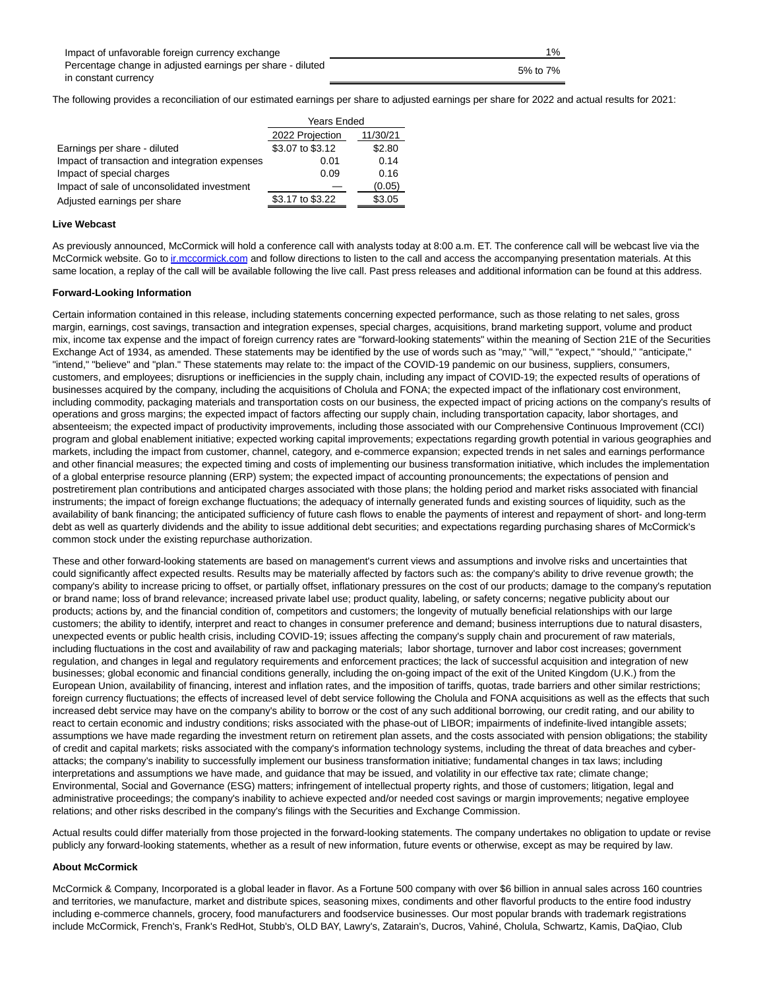| Impact of unfavorable foreign currency exchange            | $1\%$    |
|------------------------------------------------------------|----------|
| Percentage change in adjusted earnings per share - diluted | 5% to 7% |
| in constant currency                                       |          |

The following provides a reconciliation of our estimated earnings per share to adjusted earnings per share for 2022 and actual results for 2021:

| Years Ended      |          |  |  |
|------------------|----------|--|--|
| 2022 Projection  | 11/30/21 |  |  |
| \$3.07 to \$3.12 | \$2.80   |  |  |
| 0.01             | 0.14     |  |  |
| 0.09             | 0.16     |  |  |
|                  | (0.05)   |  |  |
| \$3.17 to \$3.22 | \$3.05   |  |  |
|                  |          |  |  |

#### **Live Webcast**

As previously announced, McCormick will hold a conference call with analysts today at 8:00 a.m. ET. The conference call will be webcast live via the McCormick website. Go to in.mccormick.com and follow directions to listen to the call and access the accompanying presentation materials. At this same location, a replay of the call will be available following the live call. Past press releases and additional information can be found at this address.

#### **Forward-Looking Information**

Certain information contained in this release, including statements concerning expected performance, such as those relating to net sales, gross margin, earnings, cost savings, transaction and integration expenses, special charges, acquisitions, brand marketing support, volume and product mix, income tax expense and the impact of foreign currency rates are "forward-looking statements" within the meaning of Section 21E of the Securities Exchange Act of 1934, as amended. These statements may be identified by the use of words such as "may," "will," "expect," "should," "anticipate," "intend," "believe" and "plan." These statements may relate to: the impact of the COVID-19 pandemic on our business, suppliers, consumers, customers, and employees; disruptions or inefficiencies in the supply chain, including any impact of COVID-19; the expected results of operations of businesses acquired by the company, including the acquisitions of Cholula and FONA; the expected impact of the inflationary cost environment, including commodity, packaging materials and transportation costs on our business, the expected impact of pricing actions on the company's results of operations and gross margins; the expected impact of factors affecting our supply chain, including transportation capacity, labor shortages, and absenteeism; the expected impact of productivity improvements, including those associated with our Comprehensive Continuous Improvement (CCI) program and global enablement initiative; expected working capital improvements; expectations regarding growth potential in various geographies and markets, including the impact from customer, channel, category, and e-commerce expansion; expected trends in net sales and earnings performance and other financial measures; the expected timing and costs of implementing our business transformation initiative, which includes the implementation of a global enterprise resource planning (ERP) system; the expected impact of accounting pronouncements; the expectations of pension and postretirement plan contributions and anticipated charges associated with those plans; the holding period and market risks associated with financial instruments; the impact of foreign exchange fluctuations; the adequacy of internally generated funds and existing sources of liquidity, such as the availability of bank financing; the anticipated sufficiency of future cash flows to enable the payments of interest and repayment of short- and long-term debt as well as quarterly dividends and the ability to issue additional debt securities; and expectations regarding purchasing shares of McCormick's common stock under the existing repurchase authorization.

These and other forward-looking statements are based on management's current views and assumptions and involve risks and uncertainties that could significantly affect expected results. Results may be materially affected by factors such as: the company's ability to drive revenue growth; the company's ability to increase pricing to offset, or partially offset, inflationary pressures on the cost of our products; damage to the company's reputation or brand name; loss of brand relevance; increased private label use; product quality, labeling, or safety concerns; negative publicity about our products; actions by, and the financial condition of, competitors and customers; the longevity of mutually beneficial relationships with our large customers; the ability to identify, interpret and react to changes in consumer preference and demand; business interruptions due to natural disasters, unexpected events or public health crisis, including COVID-19; issues affecting the company's supply chain and procurement of raw materials, including fluctuations in the cost and availability of raw and packaging materials; labor shortage, turnover and labor cost increases; government regulation, and changes in legal and regulatory requirements and enforcement practices; the lack of successful acquisition and integration of new businesses; global economic and financial conditions generally, including the on-going impact of the exit of the United Kingdom (U.K.) from the European Union, availability of financing, interest and inflation rates, and the imposition of tariffs, quotas, trade barriers and other similar restrictions; foreign currency fluctuations; the effects of increased level of debt service following the Cholula and FONA acquisitions as well as the effects that such increased debt service may have on the company's ability to borrow or the cost of any such additional borrowing, our credit rating, and our ability to react to certain economic and industry conditions; risks associated with the phase-out of LIBOR; impairments of indefinite-lived intangible assets; assumptions we have made regarding the investment return on retirement plan assets, and the costs associated with pension obligations; the stability of credit and capital markets; risks associated with the company's information technology systems, including the threat of data breaches and cyberattacks; the company's inability to successfully implement our business transformation initiative; fundamental changes in tax laws; including interpretations and assumptions we have made, and guidance that may be issued, and volatility in our effective tax rate; climate change; Environmental, Social and Governance (ESG) matters; infringement of intellectual property rights, and those of customers; litigation, legal and administrative proceedings; the company's inability to achieve expected and/or needed cost savings or margin improvements; negative employee relations; and other risks described in the company's filings with the Securities and Exchange Commission.

Actual results could differ materially from those projected in the forward-looking statements. The company undertakes no obligation to update or revise publicly any forward-looking statements, whether as a result of new information, future events or otherwise, except as may be required by law.

#### **About McCormick**

McCormick & Company, Incorporated is a global leader in flavor. As a Fortune 500 company with over \$6 billion in annual sales across 160 countries and territories, we manufacture, market and distribute spices, seasoning mixes, condiments and other flavorful products to the entire food industry including e-commerce channels, grocery, food manufacturers and foodservice businesses. Our most popular brands with trademark registrations include McCormick, French's, Frank's RedHot, Stubb's, OLD BAY, Lawry's, Zatarain's, Ducros, Vahiné, Cholula, Schwartz, Kamis, DaQiao, Club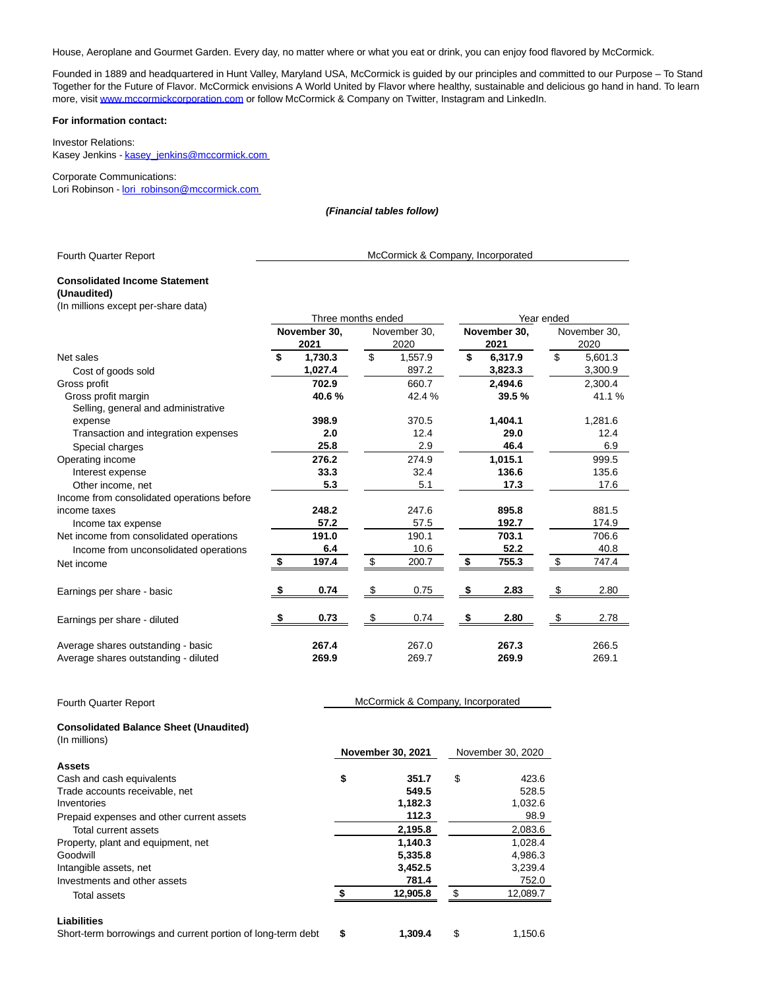House, Aeroplane and Gourmet Garden. Every day, no matter where or what you eat or drink, you can enjoy food flavored by McCormick.

Founded in 1889 and headquartered in Hunt Valley, Maryland USA, McCormick is guided by our principles and committed to our Purpose – To Stand Together for the Future of Flavor. McCormick envisions A World United by Flavor where healthy, sustainable and delicious go hand in hand. To learn more, visi[t www.mccormickcorporation.com o](https://c212.net/c/link/?t=0&l=en&o=3425224-1&h=1954251970&u=http%3A%2F%2Fwww.mccormickcorporation.com%2F&a=www.mccormickcorporation.com)r follow McCormick & Company on Twitter, Instagram and LinkedIn.

#### **For information contact:**

Investor Relations: Kasey Jenkins [- kasey\\_jenkins@mccormick.com](mailto:kasey_jenkins@mccormick.com)

Corporate Communications: Lori Robinson - [lori\\_robinson@mccormick.com](mailto:lori_robinson@mccormick.com)

#### **(Financial tables follow)**

Fourth Quarter Report **McCormick & Company, Incorporated** 

# **Consolidated Income Statement**

**(Unaudited)**

(In millions except per-share data)

|                                            | Three months ended   |         |                      | Year ended |                      |         |                      |         |
|--------------------------------------------|----------------------|---------|----------------------|------------|----------------------|---------|----------------------|---------|
|                                            | November 30,<br>2021 |         | November 30,<br>2020 |            | November 30.<br>2021 |         | November 30,<br>2020 |         |
| Net sales                                  | \$                   | 1,730.3 | \$                   | 1,557.9    | \$                   | 6,317.9 | \$                   | 5,601.3 |
| Cost of goods sold                         |                      | 1,027.4 |                      | 897.2      |                      | 3,823.3 |                      | 3,300.9 |
| Gross profit                               |                      | 702.9   |                      | 660.7      |                      | 2,494.6 |                      | 2,300.4 |
| Gross profit margin                        |                      | 40.6%   |                      | 42.4 %     |                      | 39.5 %  |                      | 41.1%   |
| Selling, general and administrative        |                      |         |                      |            |                      |         |                      |         |
| expense                                    |                      | 398.9   |                      | 370.5      |                      | 1,404.1 |                      | 1,281.6 |
| Transaction and integration expenses       |                      | 2.0     |                      | 12.4       |                      | 29.0    |                      | 12.4    |
| Special charges                            |                      | 25.8    |                      | 2.9        |                      | 46.4    |                      | 6.9     |
| Operating income                           |                      | 276.2   |                      | 274.9      |                      | 1,015.1 |                      | 999.5   |
| Interest expense                           |                      | 33.3    |                      | 32.4       |                      | 136.6   |                      | 135.6   |
| Other income, net                          |                      | 5.3     |                      | 5.1        |                      | 17.3    |                      | 17.6    |
| Income from consolidated operations before |                      |         |                      |            |                      |         |                      |         |
| income taxes                               |                      | 248.2   |                      | 247.6      |                      | 895.8   |                      | 881.5   |
| Income tax expense                         |                      | 57.2    |                      | 57.5       |                      | 192.7   |                      | 174.9   |
| Net income from consolidated operations    |                      | 191.0   |                      | 190.1      |                      | 703.1   |                      | 706.6   |
| Income from unconsolidated operations      |                      | 6.4     |                      | 10.6       |                      | 52.2    |                      | 40.8    |
| Net income                                 |                      | 197.4   | \$                   | 200.7      | \$                   | 755.3   | \$                   | 747.4   |
| Earnings per share - basic                 |                      | 0.74    | \$                   | 0.75       | \$                   | 2.83    | \$                   | 2.80    |
| Earnings per share - diluted               |                      | 0.73    | \$                   | 0.74       | \$                   | 2.80    | \$                   | 2.78    |
|                                            |                      | 267.4   |                      | 267.0      |                      | 267.3   |                      | 266.5   |
| Average shares outstanding - basic         |                      |         |                      |            |                      |         |                      |         |
| Average shares outstanding - diluted       |                      | 269.9   |                      | 269.7      |                      | 269.9   |                      | 269.1   |

| Fourth Quarter Report                                       | McCormick & Company, Incorporated |                   |    |                   |  |
|-------------------------------------------------------------|-----------------------------------|-------------------|----|-------------------|--|
| <b>Consolidated Balance Sheet (Unaudited)</b>               |                                   |                   |    |                   |  |
| (In millions)                                               |                                   |                   |    |                   |  |
|                                                             |                                   | November 30, 2021 |    | November 30, 2020 |  |
| <b>Assets</b>                                               |                                   |                   |    |                   |  |
| Cash and cash equivalents                                   | \$                                | 351.7             | \$ | 423.6             |  |
| Trade accounts receivable, net                              |                                   | 549.5             |    | 528.5             |  |
| Inventories                                                 |                                   | 1,182.3           |    | 1,032.6           |  |
| Prepaid expenses and other current assets                   |                                   | 112.3             |    | 98.9              |  |
| Total current assets                                        |                                   | 2,195.8           |    | 2,083.6           |  |
| Property, plant and equipment, net                          |                                   | 1,140.3           |    | 1,028.4           |  |
| Goodwill                                                    |                                   | 5,335.8           |    | 4,986.3           |  |
| Intangible assets, net                                      |                                   | 3,452.5           |    | 3,239.4           |  |
| Investments and other assets                                |                                   | 781.4             |    | 752.0             |  |
| Total assets                                                |                                   | 12,905.8          | \$ | 12,089.7          |  |
| <b>Liabilities</b>                                          |                                   |                   |    |                   |  |
| Short-term borrowings and current portion of long-term debt | \$                                | 1,309.4           | \$ | 1,150.6           |  |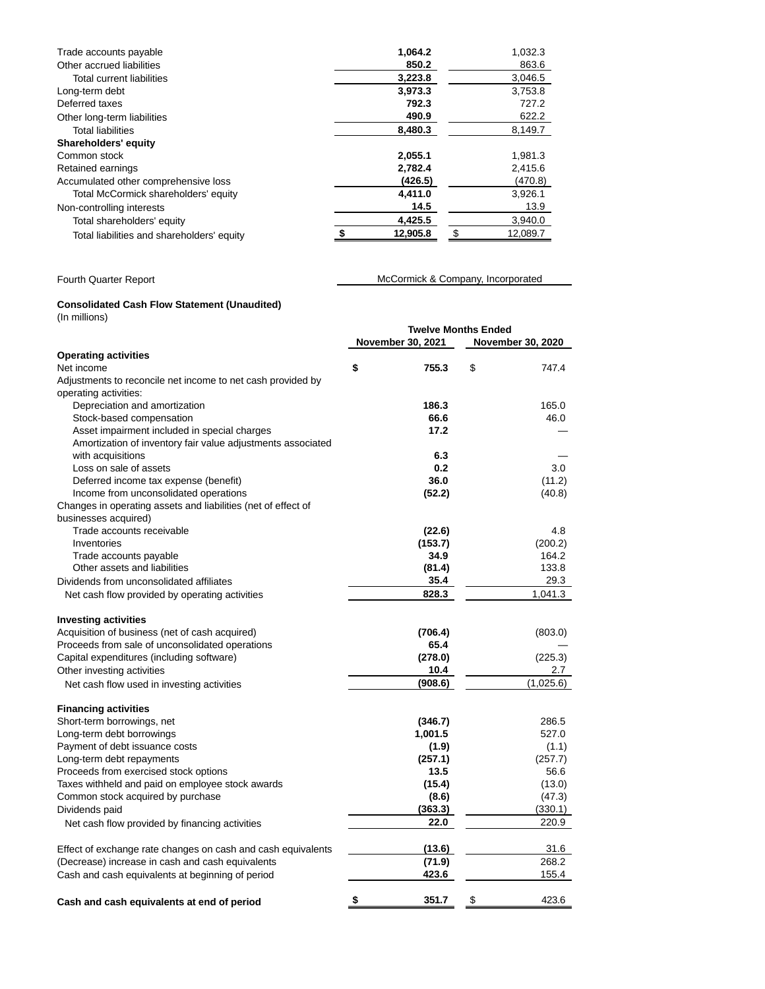| Trade accounts payable                     | 1,064.2  |     | 1,032.3  |
|--------------------------------------------|----------|-----|----------|
| Other accrued liabilities                  | 850.2    |     | 863.6    |
| <b>Total current liabilities</b>           | 3,223.8  |     | 3,046.5  |
| Long-term debt                             | 3.973.3  |     | 3.753.8  |
| Deferred taxes                             | 792.3    |     | 727.2    |
| Other long-term liabilities                | 490.9    |     | 622.2    |
| <b>Total liabilities</b>                   | 8,480.3  |     | 8,149.7  |
| Shareholders' equity                       |          |     |          |
| Common stock                               | 2,055.1  |     | 1,981.3  |
| Retained earnings                          | 2,782.4  |     | 2,415.6  |
| Accumulated other comprehensive loss       | (426.5)  |     | (470.8)  |
| Total McCormick shareholders' equity       | 4,411.0  |     | 3,926.1  |
| Non-controlling interests                  | 14.5     |     | 13.9     |
| Total shareholders' equity                 | 4,425.5  |     | 3,940.0  |
| Total liabilities and shareholders' equity | 12,905.8 | \$. | 12,089.7 |

Fourth Quarter Report **McCormick & Company, Incorporated** 

# **Consolidated Cash Flow Statement (Unaudited)**

(In millions)

|                                                               | <b>Twelve Months Ended</b> |                          |  |  |  |
|---------------------------------------------------------------|----------------------------|--------------------------|--|--|--|
|                                                               | November 30, 2021          | <b>November 30, 2020</b> |  |  |  |
| <b>Operating activities</b>                                   |                            |                          |  |  |  |
| Net income                                                    | \$<br>755.3                | \$<br>747.4              |  |  |  |
| Adjustments to reconcile net income to net cash provided by   |                            |                          |  |  |  |
| operating activities:                                         |                            |                          |  |  |  |
| Depreciation and amortization                                 | 186.3                      | 165.0                    |  |  |  |
| Stock-based compensation                                      | 66.6                       | 46.0                     |  |  |  |
| Asset impairment included in special charges                  | 17.2                       |                          |  |  |  |
| Amortization of inventory fair value adjustments associated   |                            |                          |  |  |  |
| with acquisitions                                             | 6.3                        |                          |  |  |  |
| Loss on sale of assets                                        | 0.2                        | 3.0                      |  |  |  |
| Deferred income tax expense (benefit)                         | 36.0                       | (11.2)                   |  |  |  |
| Income from unconsolidated operations                         | (52.2)                     | (40.8)                   |  |  |  |
| Changes in operating assets and liabilities (net of effect of |                            |                          |  |  |  |
| businesses acquired)                                          |                            |                          |  |  |  |
| Trade accounts receivable                                     | (22.6)                     | 4.8                      |  |  |  |
| Inventories                                                   | (153.7)                    | (200.2)                  |  |  |  |
| Trade accounts payable                                        | 34.9                       | 164.2                    |  |  |  |
| Other assets and liabilities                                  | (81.4)                     | 133.8                    |  |  |  |
| Dividends from unconsolidated affiliates                      | 35.4                       | 29.3                     |  |  |  |
| Net cash flow provided by operating activities                | 828.3                      | 1,041.3                  |  |  |  |
| <b>Investing activities</b>                                   |                            |                          |  |  |  |
| Acquisition of business (net of cash acquired)                | (706.4)                    | (803.0)                  |  |  |  |
| Proceeds from sale of unconsolidated operations               | 65.4                       |                          |  |  |  |
| Capital expenditures (including software)                     | (278.0)                    | (225.3)                  |  |  |  |
| Other investing activities                                    | 10.4                       | 2.7                      |  |  |  |
| Net cash flow used in investing activities                    | (908.6)                    | (1,025.6)                |  |  |  |
| <b>Financing activities</b>                                   |                            |                          |  |  |  |
| Short-term borrowings, net                                    | (346.7)                    | 286.5                    |  |  |  |
| Long-term debt borrowings                                     | 1,001.5                    | 527.0                    |  |  |  |
| Payment of debt issuance costs                                | (1.9)                      | (1.1)                    |  |  |  |
| Long-term debt repayments                                     | (257.1)                    | (257.7)                  |  |  |  |
| Proceeds from exercised stock options                         | 13.5                       | 56.6                     |  |  |  |
| Taxes withheld and paid on employee stock awards              | (15.4)                     | (13.0)                   |  |  |  |
| Common stock acquired by purchase                             | (8.6)                      | (47.3)                   |  |  |  |
| Dividends paid                                                | (363.3)                    | (330.1)                  |  |  |  |
| Net cash flow provided by financing activities                | 22.0                       | 220.9                    |  |  |  |
| Effect of exchange rate changes on cash and cash equivalents  | (13.6)                     | 31.6                     |  |  |  |
| (Decrease) increase in cash and cash equivalents              | (71.9)                     | 268.2                    |  |  |  |
| Cash and cash equivalents at beginning of period              | 423.6                      | 155.4                    |  |  |  |
| Cash and cash equivalents at end of period                    | \$<br>351.7                | \$<br>423.6              |  |  |  |